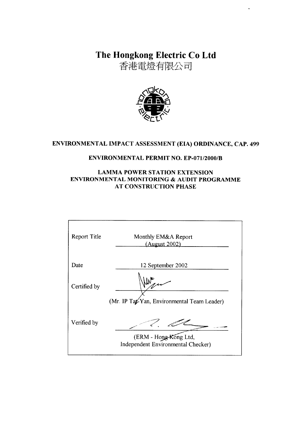The Hongkong Electric Co Ltd

香港電燈有限公司



# ENVIRONMENTAL IMPACT ASSESSMENT (EIA) ORDINANCE, CAP. 499

# **ENVIRONMENTAL PERMIT NO. EP-071/2000/B**

# **LAMMA POWER STATION EXTENSION** ENVIRONMENTAL MONITORING & AUDIT PROGRAMME **AT CONSTRUCTION PHASE**

| <b>Report Title</b> | Monthly EM&A Report<br>(August 2002)                        |
|---------------------|-------------------------------------------------------------|
| Date                | 12 September 2002                                           |
| Certified by        |                                                             |
|                     | (Mr. IP Tat-Yan, Environmental Team Leader)                 |
| Verified by         |                                                             |
|                     | (ERM - Hong-Kong Ltd,<br>Independent Environmental Checker) |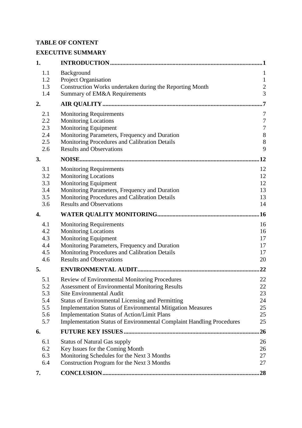# **TABLE OF CONTENT**

# **EXECUTIVE SUMMARY**

| 1.         |                                                                             | 1                |
|------------|-----------------------------------------------------------------------------|------------------|
| 1.1        | Background                                                                  | $\mathbf{1}$     |
| 1.2        | Project Organisation                                                        | $\mathbf{1}$     |
| 1.3        | Construction Works undertaken during the Reporting Month                    | $\overline{c}$   |
| 1.4        | Summary of EM&A Requirements                                                | $\overline{3}$   |
| 2.         |                                                                             | 7                |
| 2.1        | <b>Monitoring Requirements</b>                                              | 7                |
| 2.2        | <b>Monitoring Locations</b>                                                 | $\boldsymbol{7}$ |
| 2.3        | Monitoring Equipment                                                        | $\boldsymbol{7}$ |
| 2.4        | Monitoring Parameters, Frequency and Duration                               | $\,8\,$          |
| 2.5        | Monitoring Procedures and Calibration Details                               | 8                |
| 2.6        | <b>Results and Observations</b>                                             | 9                |
| 3.         |                                                                             | 12               |
| 3.1        | <b>Monitoring Requirements</b>                                              | 12               |
| 3.2        | <b>Monitoring Locations</b>                                                 | 12               |
| 3.3        | Monitoring Equipment                                                        | 12               |
| 3.4        | Monitoring Parameters, Frequency and Duration                               | 13               |
| 3.5        | Monitoring Procedures and Calibration Details                               | 13               |
| 3.6        | <b>Results and Observations</b>                                             | 14               |
| 4.         |                                                                             | .16              |
| 4.1        | <b>Monitoring Requirements</b>                                              | 16               |
| 4.2        | <b>Monitoring Locations</b>                                                 | 16               |
| 4.3        | <b>Monitoring Equipment</b>                                                 | 17               |
| 4.4        | Monitoring Parameters, Frequency and Duration                               | 17               |
| 4.5        | Monitoring Procedures and Calibration Details                               | 17               |
| 4.6        | <b>Results and Observations</b>                                             | 20               |
| 5.         |                                                                             | 22               |
| 5.1        | Review of Environmental Monitoring Procedures                               | 22               |
| 5.2        | <b>Assessment of Environmental Monitoring Results</b>                       | 22               |
| 5.3        | <b>Site Environmental Audit</b>                                             | 23               |
| 5.4        | <b>Status of Environmental Licensing and Permitting</b>                     | 24               |
| 5.5        | <b>Implementation Status of Environmental Mitigation Measures</b>           | 25               |
| 5.6<br>5.7 | <b>Implementation Status of Action/Limit Plans</b>                          | 25<br>25         |
|            | <b>Implementation Status of Environmental Complaint Handling Procedures</b> |                  |
| 6.         |                                                                             | 26               |
| 6.1        | <b>Status of Natural Gas supply</b>                                         | 26               |
| 6.2        | Key Issues for the Coming Month                                             | 26               |
| 6.3        | Monitoring Schedules for the Next 3 Months                                  | 27               |
| 6.4        | Construction Program for the Next 3 Months                                  | 27               |
| 7.         |                                                                             | 28               |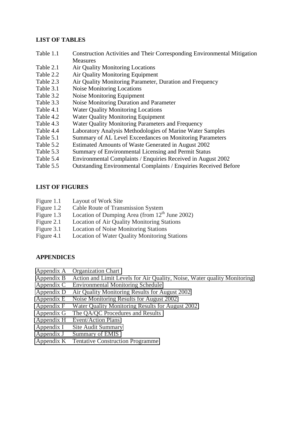### **LIST OF TABLES**

- Table 1.1 Construction Activities and Their Corresponding Environmental Mitigation **Measures**
- Table 2.1 Air Quality Monitoring Locations
- Table 2.2 Air Quality Monitoring Equipment
- Table 2.3 Air Quality Monitoring Parameter, Duration and Frequency
- Table 3.1 Noise Monitoring Locations
- Table 3.2 Noise Monitoring Equipment
- Table 3.3 Noise Monitoring Duration and Parameter
- Table 4.1 Water Quality Monitoring Locations
- Table 4.2 Water Quality Monitoring Equipment
- Table 4.3 Water Quality Monitoring Parameters and Frequency
- Table 4.4 Laboratory Analysis Methodologies of Marine Water Samples
- Table 5.1 Summary of AL Level Exceedances on Monitoring Parameters
- Table 5.2 Estimated Amounts of Waste Generated in August 2002
- Table 5.3 Summary of Environmental Licensing and Permit Status
- Table 5.4 Environmental Complaints / Enquiries Received in August 2002
- Table 5.5 Outstanding Environmental Complaints / Enquiries Received Before

#### **LIST OF FIGURES**

- Figure 1.1 Layout of Work Site
- Figure 1.2 Cable Route of Transmission System
- Figure 1.3 Location of Dumping Area (from  $12<sup>th</sup>$  June 2002)
- Figure 2.1 Location of Air Quality Monitoring Stations
- Figure 3.1 Location of Noise Monitoring Stations
- Figure 4.1 Location of Water Quality Monitoring Stations

#### **APPENDICES**

- Appendix A Organization Chart
- Appendix B Action and Limit Levels for Air Quality, Noise, Water quality Monitoring
- Appendix C Environmental Monitoring Schedule
- Appendix D Air Quality Monitoring Results for August 2002
- Appendix E Noise Monitoring Results for August 2002
- Appendix F Water Quality Monitoring Results for August 2002
- Appendix G The QA/QC Procedures and Results
- Appendix H Event/Action Plans
- Appendix I Site Audit Summary
- Appendix J Summary of EMIS
- Appendix K Tentative Construction Programme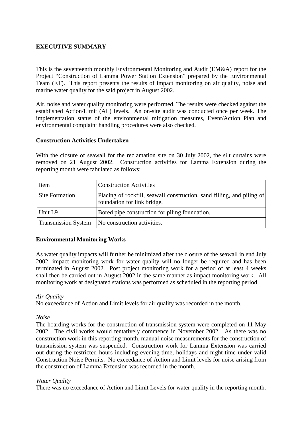# **EXECUTIVE SUMMARY**

This is the seventeenth monthly Environmental Monitoring and Audit (EM&A) report for the Project "Construction of Lamma Power Station Extension" prepared by the Environmental Team (ET). This report presents the results of impact monitoring on air quality, noise and marine water quality for the said project in August 2002.

Air, noise and water quality monitoring were performed. The results were checked against the established Action/Limit (AL) levels. An on-site audit was conducted once per week. The implementation status of the environmental mitigation measures, Event/Action Plan and environmental complaint handling procedures were also checked.

### **Construction Activities Undertaken**

With the closure of seawall for the reclamation site on 30 July 2002, the silt curtains were removed on 21 August 2002. Construction activities for Lamma Extension during the reporting month were tabulated as follows:

| Item                       | <b>Construction Activities</b>                                                                        |  |
|----------------------------|-------------------------------------------------------------------------------------------------------|--|
| <b>Site Formation</b>      | Placing of rockfill, seawall construction, sand filling, and piling of<br>foundation for link bridge. |  |
| Unit L9                    | Bored pipe construction for piling foundation.                                                        |  |
| <b>Transmission System</b> | No construction activities.                                                                           |  |

#### **Environmental Monitoring Works**

As water quality impacts will further be minimized after the closure of the seawall in end July 2002, impact monitoring work for water quality will no longer be required and has been terminated in August 2002. Post project monitoring work for a period of at least 4 weeks shall then be carried out in August 2002 in the same manner as impact monitoring work. All monitoring work at designated stations was performed as scheduled in the reporting period.

#### *Air Quality*

No exceedance of Action and Limit levels for air quality was recorded in the month.

#### *Noise*

The hoarding works for the construction of transmission system were completed on 11 May 2002. The civil works would tentatively commence in November 2002. As there was no construction work in this reporting month, manual noise measurements for the construction of transmission system was suspended. Construction work for Lamma Extension was carried out during the restricted hours including evening-time, holidays and night-time under valid Construction Noise Permits. No exceedance of Action and Limit levels for noise arising from the construction of Lamma Extension was recorded in the month.

#### *Water Quality*

There was no exceedance of Action and Limit Levels for water quality in the reporting month.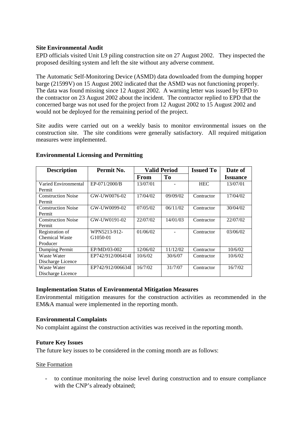# **Site Environmental Audit**

EPD officials visited Unit L9 piling construction site on 27 August 2002. They inspected the proposed desilting system and left the site without any adverse comment.

The Automatic Self-Monitoring Device (ASMD) data downloaded from the dumping hopper barge (21599V) on 15 August 2002 indicated that the ASMD was not functioning properly. The data was found missing since 12 August 2002. A warning letter was issued by EPD to the contractor on 23 August 2002 about the incident. The contractor replied to EPD that the concerned barge was not used for the project from 12 August 2002 to 15 August 2002 and would not be deployed for the remaining period of the project.

Site audits were carried out on a weekly basis to monitor environmental issues on the construction site. The site conditions were generally satisfactory. All required mitigation measures were implemented.

| <b>Description</b>        | Permit No.        | <b>Valid Period</b> |          | <b>Issued To</b> | Date of                |
|---------------------------|-------------------|---------------------|----------|------------------|------------------------|
|                           |                   | <b>From</b>         | To       |                  | <i><b>Issuance</b></i> |
| Varied Environmental      | EP-071/2000/B     | 13/07/01            |          | <b>HEC</b>       | 13/07/01               |
| Permit                    |                   |                     |          |                  |                        |
| <b>Construction Noise</b> | GW-UW0076-02      | 17/04/02            | 09/09/02 | Contractor       | 17/04/02               |
| Permit                    |                   |                     |          |                  |                        |
| <b>Construction Noise</b> | GW-UW0099-02      | 07/05/02            | 06/11/02 | Contractor       | 30/04/02               |
| Permit                    |                   |                     |          |                  |                        |
| <b>Construction Noise</b> | GW-UW0191-02      | 22/07/02            | 14/01/03 | Contractor       | 22/07/02               |
| Permit                    |                   |                     |          |                  |                        |
| Registration of           | WPN5213-912-      | 01/06/02            |          | Contractor       | 03/06/02               |
| <b>Chemical Waste</b>     | G1050-01          |                     |          |                  |                        |
| Producer                  |                   |                     |          |                  |                        |
| Dumping Permit            | EP/MD/03-002      | 12/06/02            | 11/12/02 | Contractor       | 10/6/02                |
| Waste Water               | EP742/912/006414I | 10/6/02             | 30/6/07  | Contractor       | 10/6/02                |
| Discharge Licence         |                   |                     |          |                  |                        |
| Waste Water               | EP742/912/006634I | 16/7/02             | 31/7/07  | Contractor       | 16/7/02                |
| Discharge Licence         |                   |                     |          |                  |                        |

### **Environmental Licensing and Permitting**

#### **Implementation Status of Environmental Mitigation Measures**

Environmental mitigation measures for the construction activities as recommended in the EM&A manual were implemented in the reporting month.

#### **Environmental Complaints**

No complaint against the construction activities was received in the reporting month.

#### **Future Key Issues**

The future key issues to be considered in the coming month are as follows:

#### Site Formation

- to continue monitoring the noise level during construction and to ensure compliance with the CNP's already obtained;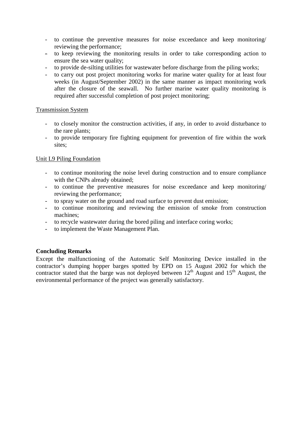- to continue the preventive measures for noise exceedance and keep monitoring/ reviewing the performance;
- to keep reviewing the monitoring results in order to take corresponding action to ensure the sea water quality;
- to provide de-silting utilities for wastewater before discharge from the piling works;
- to carry out post project monitoring works for marine water quality for at least four weeks (in August/September 2002) in the same manner as impact monitoring work after the closure of the seawall. No further marine water quality monitoring is required after successful completion of post project monitoring;

### Transmission System

- to closely monitor the construction activities, if any, in order to avoid disturbance to the rare plants;
- to provide temporary fire fighting equipment for prevention of fire within the work sites;

# Unit L9 Piling Foundation

- to continue monitoring the noise level during construction and to ensure compliance with the CNPs already obtained;
- to continue the preventive measures for noise exceedance and keep monitoring/ reviewing the performance;
- to spray water on the ground and road surface to prevent dust emission;
- to continue monitoring and reviewing the emission of smoke from construction machines;
- to recycle wastewater during the bored piling and interface coring works;
- to implement the Waste Management Plan.

# **Concluding Remarks**

Except the malfunctioning of the Automatic Self Monitoring Device installed in the contractor's dumping hopper barges spotted by EPD on 15 August 2002 for which the contractor stated that the barge was not deployed between  $12<sup>th</sup>$  August and  $15<sup>th</sup>$  August, the environmental performance of the project was generally satisfactory.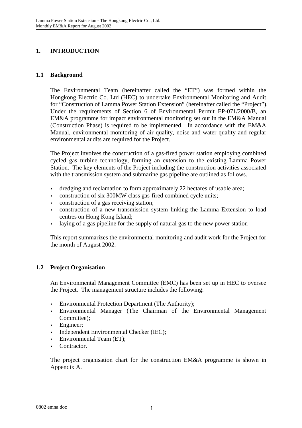# **1. INTRODUCTION**

# **1.1 Background**

The Environmental Team (hereinafter called the "ET") was formed within the Hongkong Electric Co. Ltd (HEC) to undertake Environmental Monitoring and Audit for "Construction of Lamma Power Station Extension" (hereinafter called the "Project"). Under the requirements of Section 6 of Environmental Permit EP-071/2000/B, an EM&A programme for impact environmental monitoring set out in the EM&A Manual (Construction Phase) is required to be implemented. In accordance with the EM&A Manual, environmental monitoring of air quality, noise and water quality and regular environmental audits are required for the Project.

The Project involves the construction of a gas-fired power station employing combined cycled gas turbine technology, forming an extension to the existing Lamma Power Station. The key elements of the Project including the construction activities associated with the transmission system and submarine gas pipeline are outlined as follows.

- dredging and reclamation to form approximately 22 hectares of usable area;
- construction of six 300MW class gas-fired combined cycle units;
- construction of a gas receiving station;
- construction of a new transmission system linking the Lamma Extension to load centres on Hong Kong Island;
- laying of a gas pipeline for the supply of natural gas to the new power station

This report summarizes the environmental monitoring and audit work for the Project for the month of August 2002.

# **1.2 Project Organisation**

An Environmental Management Committee (EMC) has been set up in HEC to oversee the Project. The management structure includes the following:

- Environmental Protection Department (The Authority);
- Environmental Manager (The Chairman of the Environmental Management Committee);
- Engineer;
- Independent Environmental Checker (IEC);
- Environmental Team (ET);
- Contractor.

The project organisation chart for the construction EM&A programme is shown in Appendix A.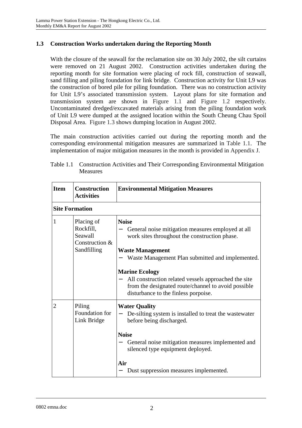# **1.3 Construction Works undertaken during the Reporting Month**

With the closure of the seawall for the reclamation site on 30 July 2002, the silt curtains were removed on 21 August 2002. Construction activities undertaken during the reporting month for site formation were placing of rock fill, construction of seawall, sand filling and piling foundation for link bridge. Construction activity for Unit L9 was the construction of bored pile for piling foundation. There was no construction activity for Unit L9's associated transmission system. Layout plans for site formation and transmission system are shown in Figure 1.1 and Figure 1.2 respectively. Uncontaminated dredged/excavated materials arising from the piling foundation work of Unit L9 were dumped at the assigned location within the South Cheung Chau Spoil Disposal Area. Figure 1.3 shows dumping location in August 2002.

The main construction activities carried out during the reporting month and the corresponding environmental mitigation measures are summarized in Table 1.1. The implementation of major mitigation measures in the month is provided in Appendix J.

| <b>Item</b>           | Construction<br><b>Activities</b>                                   | <b>Environmental Mitigation Measures</b>                                                                                                                                                                                                                                                                                                                                          |
|-----------------------|---------------------------------------------------------------------|-----------------------------------------------------------------------------------------------------------------------------------------------------------------------------------------------------------------------------------------------------------------------------------------------------------------------------------------------------------------------------------|
| <b>Site Formation</b> |                                                                     |                                                                                                                                                                                                                                                                                                                                                                                   |
| 1                     | Placing of<br>Rockfill,<br>Seawall<br>Construction &<br>Sandfilling | <b>Noise</b><br>General noise mitigation measures employed at all<br>work sites throughout the construction phase.<br><b>Waste Management</b><br>Waste Management Plan submitted and implemented.<br><b>Marine Ecology</b><br>All construction related vessels approached the site<br>from the designated route/channel to avoid possible<br>disturbance to the finless porpoise. |
| $\overline{2}$        | Piling<br>Foundation for<br>Link Bridge                             | <b>Water Quality</b><br>De-silting system is installed to treat the wastewater<br>before being discharged.<br><b>Noise</b><br>General noise mitigation measures implemented and<br>silenced type equipment deployed.<br>Air<br>Dust suppression measures implemented.                                                                                                             |

| Table 1.1 Construction Activities and Their Corresponding Environmental Mitigation |
|------------------------------------------------------------------------------------|
| Measures                                                                           |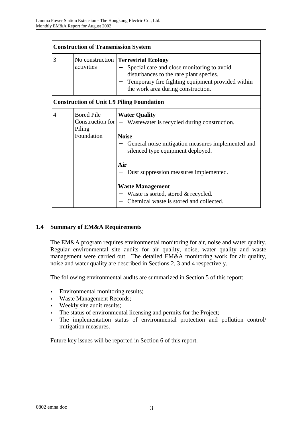|                | <b>Construction of Transmission System</b> |                                                                                                                                                                                                                                |  |  |
|----------------|--------------------------------------------|--------------------------------------------------------------------------------------------------------------------------------------------------------------------------------------------------------------------------------|--|--|
| 3              | activities                                 | No construction <b>Terrestrial Ecology</b><br>Special care and close monitoring to avoid<br>disturbances to the rare plant species.<br>Temporary fire fighting equipment provided within<br>the work area during construction. |  |  |
|                |                                            | <b>Construction of Unit L9 Piling Foundation</b>                                                                                                                                                                               |  |  |
| $\overline{4}$ | <b>Bored Pile</b><br>Piling<br>Foundation  | <b>Water Quality</b><br>Construction for $ -$ Wastewater is recycled during construction.<br><b>Noise</b><br>General noise mitigation measures implemented and<br>silenced type equipment deployed.                            |  |  |
|                |                                            | Air<br>Dust suppression measures implemented.                                                                                                                                                                                  |  |  |
|                |                                            | <b>Waste Management</b><br>Waste is sorted, stored & recycled.<br>Chemical waste is stored and collected.                                                                                                                      |  |  |

# **1.4 Summary of EM&A Requirements**

The EM&A program requires environmental monitoring for air, noise and water quality. Regular environmental site audits for air quality, noise, water quality and waste management were carried out. The detailed EM&A monitoring work for air quality, noise and water quality are described in Sections 2, 3 and 4 respectively.

The following environmental audits are summarized in Section 5 of this report:

- Environmental monitoring results;
- Waste Management Records;
- Weekly site audit results;
- The status of environmental licensing and permits for the Project;
- The implementation status of environmental protection and pollution control/ mitigation measures.

Future key issues will be reported in Section 6 of this report.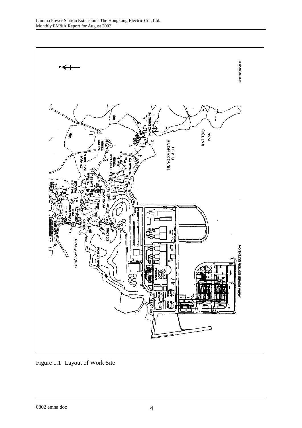

Figure 1.1 Layout of Work Site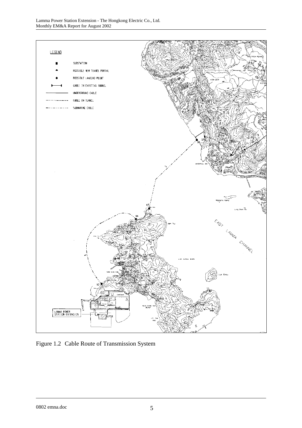

Figure 1.2 Cable Route of Transmission System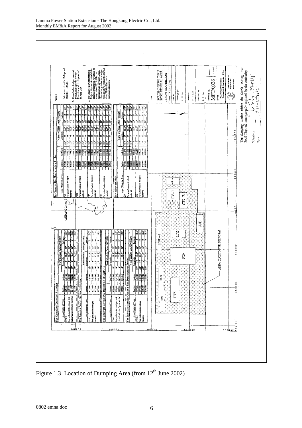

Figure 1.3 Location of Dumping Area (from  $12<sup>th</sup>$  June 2002)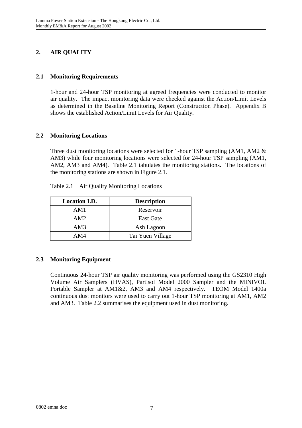# **2. AIR QUALITY**

# **2.1 Monitoring Requirements**

1-hour and 24-hour TSP monitoring at agreed frequencies were conducted to monitor air quality. The impact monitoring data were checked against the Action/Limit Levels as determined in the Baseline Monitoring Report (Construction Phase). Appendix B shows the established Action/Limit Levels for Air Quality.

# **2.2 Monitoring Locations**

Three dust monitoring locations were selected for 1-hour TSP sampling (AM1, AM2 & AM3) while four monitoring locations were selected for 24-hour TSP sampling (AM1, AM2, AM3 and AM4). Table 2.1 tabulates the monitoring stations. The locations of the monitoring stations are shown in Figure 2.1.

| <b>Location I.D.</b> | <b>Description</b> |
|----------------------|--------------------|
| AM1                  | Reservoir          |
| AM2                  | <b>East Gate</b>   |
| AM3                  | Ash Lagoon         |
| AM4                  | Tai Yuen Village   |

Table 2.1 Air Quality Monitoring Locations

# **2.3 Monitoring Equipment**

Continuous 24-hour TSP air quality monitoring was performed using the GS2310 High Volume Air Samplers (HVAS), Partisol Model 2000 Sampler and the MINIVOL Portable Sampler at AM1&2, AM3 and AM4 respectively. TEOM Model 1400a continuous dust monitors were used to carry out 1-hour TSP monitoring at AM1, AM2 and AM3. Table 2.2 summarises the equipment used in dust monitoring.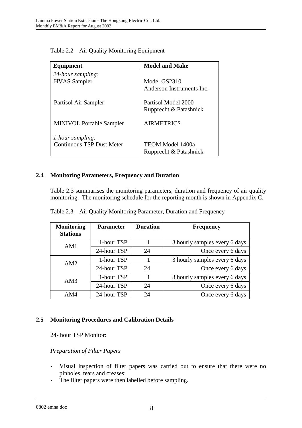| Equipment                        | <b>Model and Make</b>     |
|----------------------------------|---------------------------|
| 24-hour sampling:                |                           |
| <b>HVAS</b> Sampler              | Model GS2310              |
|                                  | Anderson Instruments Inc. |
| Partisol Air Sampler             | Partisol Model 2000       |
|                                  | Rupprecht & Patashnick    |
| <b>MINIVOL Portable Sampler</b>  | <b>AIRMETRICS</b>         |
| <i>l</i> -hour sampling:         |                           |
| <b>Continuous TSP Dust Meter</b> | <b>TEOM Model 1400a</b>   |
|                                  | Rupprecht & Patashnick    |

Table 2.2 Air Quality Monitoring Equipment

# **2.4 Monitoring Parameters, Frequency and Duration**

Table 2.3 summarises the monitoring parameters, duration and frequency of air quality monitoring. The monitoring schedule for the reporting month is shown in Appendix C.

| <b>Monitoring</b><br><b>Stations</b> | <b>Parameter</b> | <b>Duration</b> | <b>Frequency</b>              |
|--------------------------------------|------------------|-----------------|-------------------------------|
| AM1                                  | 1-hour TSP       |                 | 3 hourly samples every 6 days |
|                                      | 24-hour TSP      | 24              | Once every 6 days             |
| AM2                                  | 1-hour TSP       |                 | 3 hourly samples every 6 days |
|                                      | 24-hour TSP      | 24              | Once every 6 days             |
| AM3                                  | 1-hour TSP       |                 | 3 hourly samples every 6 days |
|                                      | 24-hour TSP      | 24              | Once every 6 days             |
| AM4                                  | 24-hour TSP      | 24              | Once every 6 days             |

Table 2.3 Air Quality Monitoring Parameter, Duration and Frequency

# **2.5 Monitoring Procedures and Calibration Details**

24- hour TSP Monitor:

# *Preparation of Filter Papers*

- Visual inspection of filter papers was carried out to ensure that there were no pinholes, tears and creases;
- The filter papers were then labelled before sampling.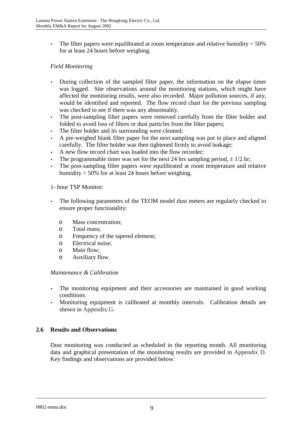• The filter papers were equilibrated at room temperature and relative humidity  $<$  50% for at least 24 hours before weighing.

# *Field Monitoring*

- During collection of the sampled filter paper, the information on the elapse timer was logged. Site observations around the monitoring stations, which might have affected the monitoring results, were also recorded. Major pollution sources, if any, would be identified and reported. The flow record chart for the previous sampling was checked to see if there was any abnormality.
- The post-sampling filter papers were removed carefully from the filter holder and folded to avoid loss of fibres or dust particles from the filter papers;
- The filter holder and its surrounding were cleaned;
- A pre-weighed blank filter paper for the next sampling was put in place and aligned carefully. The filter holder was then tightened firmly to avoid leakage;
- A new flow record chart was loaded into the flow recorder;
- The programmable timer was set for the next 24 hrs sampling period,  $\pm$  1/2 hr;
- The post-sampling filter papers were equilibrated at room temperature and relative humidity < 50% for at least 24 hours before weighing.

#### 1- hour TSP Monitor:

- The following parameters of the TEOM model dust meters are regularly checked to ensure proper functionality:
	- o Mass concentration;
	- o Total mass;
	- o Frequency of the tapered element;
	- o Electrical noise;
	- o Main flow;
	- o Auxiliary flow.

#### *Maintenance & Calibration*

- The monitoring equipment and their accessories are maintained in good working conditions.
- Monitoring equipment is calibrated at monthly intervals. Calibration details are shown in Appendix G.

# **2.6 Results and Observations**

Dust monitoring was conducted as scheduled in the reporting month. All monitoring data and graphical presentation of the monitoring results are provided in Appendix D. Key findings and observations are provided below: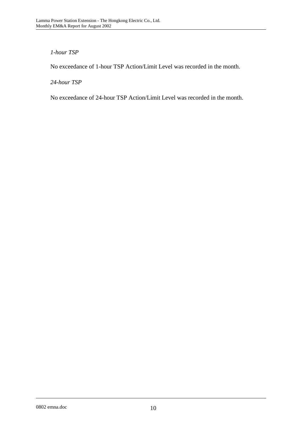# *1-hour TSP*

No exceedance of 1-hour TSP Action/Limit Level was recorded in the month.

*24-hour TSP* 

No exceedance of 24-hour TSP Action/Limit Level was recorded in the month.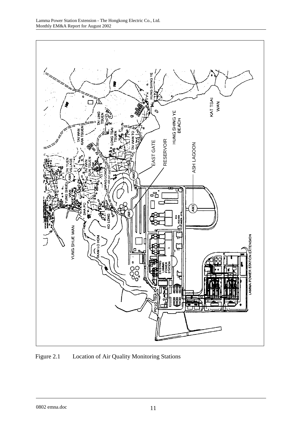

Figure 2.1 Location of Air Quality Monitoring Stations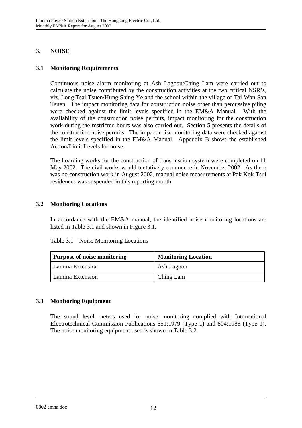# **3. NOISE**

# **3.1 Monitoring Requirements**

Continuous noise alarm monitoring at Ash Lagoon/Ching Lam were carried out to calculate the noise contributed by the construction activities at the two critical NSR's, viz. Long Tsai Tsuen/Hung Shing Ye and the school within the village of Tai Wan San Tsuen. The impact monitoring data for construction noise other than percussive piling were checked against the limit levels specified in the EM&A Manual. With the availability of the construction noise permits, impact monitoring for the construction work during the restricted hours was also carried out. Section 5 presents the details of the construction noise permits. The impact noise monitoring data were checked against the limit levels specified in the EM&A Manual. Appendix B shows the established Action/Limit Levels for noise.

The hoarding works for the construction of transmission system were completed on 11 May 2002. The civil works would tentatively commence in November 2002. As there was no construction work in August 2002, manual noise measurements at Pak Kok Tsui residences was suspended in this reporting month.

# **3.2 Monitoring Locations**

In accordance with the EM&A manual, the identified noise monitoring locations are listed in Table 3.1 and shown in Figure 3.1.

| <b>Purpose of noise monitoring</b> | <b>Monitoring Location</b> |  |
|------------------------------------|----------------------------|--|
| Lamma Extension                    | Ash Lagoon                 |  |
| Lamma Extension                    | Ching Lam                  |  |

Table 3.1 Noise Monitoring Locations

# **3.3 Monitoring Equipment**

The sound level meters used for noise monitoring complied with International Electrotechnical Commission Publications 651:1979 (Type 1) and 804:1985 (Type 1). The noise monitoring equipment used is shown in Table 3.2.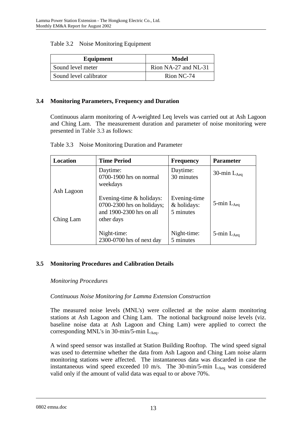| Equipment              | Model                |  |
|------------------------|----------------------|--|
| Sound level meter      | Rion NA-27 and NL-31 |  |
| Sound level calibrator | Rion NC-74           |  |

### **3.4 Monitoring Parameters, Frequency and Duration**

Continuous alarm monitoring of A-weighted Leq levels was carried out at Ash Lagoon and Ching Lam. The measurement duration and parameter of noise monitoring were presented in Table 3.3 as follows:

| Location                | <b>Time Period</b>                                                                                   | <b>Frequency</b>                         | <b>Parameter</b>   |
|-------------------------|------------------------------------------------------------------------------------------------------|------------------------------------------|--------------------|
|                         | Daytime:<br>0700-1900 hrs on normal<br>weekdays                                                      | Daytime:<br>30 minutes                   | 30-min $L_{Aea}$   |
| Ash Lagoon<br>Ching Lam | Evening-time $&$ holidays:<br>$0700-2300$ hrs on holidays;<br>and 1900-2300 hrs on all<br>other days | Evening-time<br>& holidays:<br>5 minutes | 5-min $L_{Aeq}$    |
|                         | Night-time:<br>2300-0700 hrs of next day                                                             | Night-time:<br>5 minutes                 | $5$ -min $L_{Aeq}$ |

# **3.5 Monitoring Procedures and Calibration Details**

#### *Monitoring Procedures*

# *Continuous Noise Monitoring for Lamma Extension Construction*

The measured noise levels (MNL's) were collected at the noise alarm monitoring stations at Ash Lagoon and Ching Lam. The notional background noise levels (viz. baseline noise data at Ash Lagoon and Ching Lam) were applied to correct the corresponding MNL's in 30-min/5-min  $L_{Aea}$ .

A wind speed sensor was installed at Station Building Rooftop. The wind speed signal was used to determine whether the data from Ash Lagoon and Ching Lam noise alarm monitoring stations were affected. The instantaneous data was discarded in case the instantaneous wind speed exceeded 10 m/s. The 30-min/5-min  $L_{Aeq}$  was considered valid only if the amount of valid data was equal to or above 70%.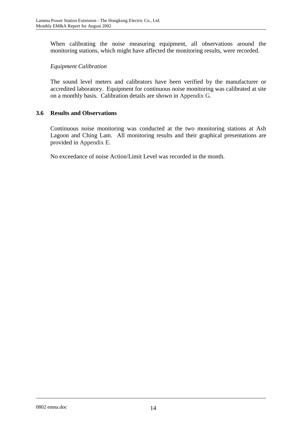When calibrating the noise measuring equipment, all observations around the monitoring stations, which might have affected the monitoring results, were recorded.

# *Equipment Calibration*

The sound level meters and calibrators have been verified by the manufacturer or accredited laboratory. Equipment for continuous noise monitoring was calibrated at site on a monthly basis. Calibration details are shown in Appendix G.

# **3.6 Results and Observations**

Continuous noise monitoring was conducted at the two monitoring stations at Ash Lagoon and Ching Lam. All monitoring results and their graphical presentations are provided in Appendix E.

No exceedance of noise Action/Limit Level was recorded in the month.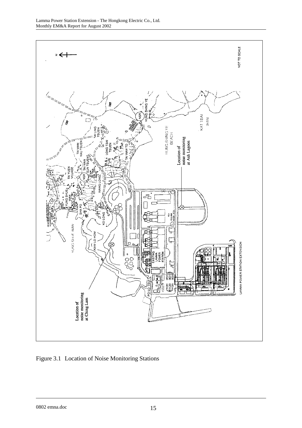

Figure 3.1 Location of Noise Monitoring Stations

0802 emna.doc 15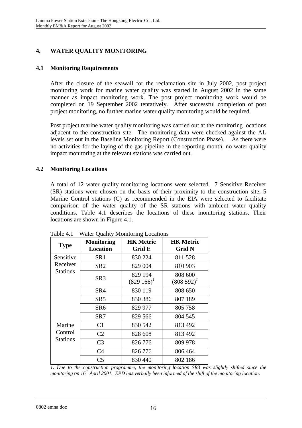# **4. WATER QUALITY MONITORING**

# **4.1 Monitoring Requirements**

After the closure of the seawall for the reclamation site in July 2002, post project monitoring work for marine water quality was started in August 2002 in the same manner as impact monitoring work. The post project monitoring work would be completed on 19 September 2002 tentatively. After successful completion of post project monitoring, no further marine water quality monitoring would be required.

Post project marine water quality monitoring was carried out at the monitoring locations adjacent to the construction site. The monitoring data were checked against the AL levels set out in the Baseline Monitoring Report (Construction Phase). As there were no activities for the laying of the gas pipeline in the reporting month, no water quality impact monitoring at the relevant stations was carried out.

# **4.2 Monitoring Locations**

A total of 12 water quality monitoring locations were selected. 7 Sensitive Receiver (SR) stations were chosen on the basis of their proximity to the construction site, 5 Marine Control stations (C) as recommended in the EIA were selected to facilitate comparison of the water quality of the SR stations with ambient water quality conditions. Table 4.1 describes the locations of these monitoring stations. Their locations are shown in Figure 4.1.

| <b>Type</b>                | <b>Monitoring</b><br><b>Location</b> | <b>HK Metric</b><br>Grid E  | <b>HK Metric</b><br><b>Grid N</b> |
|----------------------------|--------------------------------------|-----------------------------|-----------------------------------|
| Sensitive                  | SR1                                  | 830 224                     | 811 528                           |
| Receiver                   | SR <sub>2</sub>                      | 829 004                     | 810 903                           |
| <b>Stations</b>            | SR <sub>3</sub>                      | 829 194<br>$(829\;166)^{1}$ | 808 600<br>$(808592)^{1}$         |
|                            | SR4                                  | 830 119                     | 808 650                           |
|                            | SR <sub>5</sub>                      | 830 386                     | 807 189                           |
|                            | SR <sub>6</sub>                      | 829 977                     | 805 758                           |
|                            | SR7                                  | 829 566                     | 804 545                           |
| Marine                     | C1                                   | 830 542                     | 813 492                           |
| Control<br><b>Stations</b> | C <sub>2</sub>                       | 828 608                     | 813 492                           |
|                            | C <sub>3</sub>                       | 826 776                     | 809 978                           |
|                            | C <sub>4</sub>                       | 826 776                     | 806 464                           |
|                            | C <sub>5</sub>                       | 830 440                     | 802 186                           |

Table 4.1 Water Quality Monitoring Locations

*1. Due to the construction programme, the monitoring location SR3 was slightly shifted since the monitoring on 16th April 2001. EPD has verbally been informed of the shift of the monitoring location.*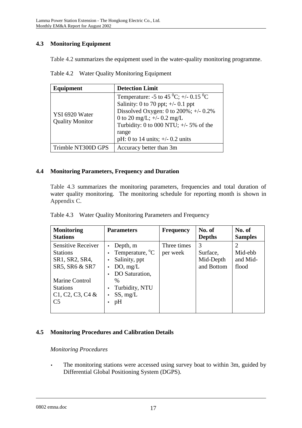# **4.3 Monitoring Equipment**

Table 4.2 summarizes the equipment used in the water-quality monitoring programme.

| Table 4.2 Water Quality Monitoring Equipment |  |
|----------------------------------------------|--|
|                                              |  |

| Equipment                                | <b>Detection Limit</b>                                                                                                                                                                                                                                                           |
|------------------------------------------|----------------------------------------------------------------------------------------------------------------------------------------------------------------------------------------------------------------------------------------------------------------------------------|
| YSI 6920 Water<br><b>Quality Monitor</b> | Temperature: -5 to 45 <sup>0</sup> C; +/- 0.15 <sup>0</sup> C<br>Salinity: 0 to 70 ppt; $\pm$ /- 0.1 ppt<br>Dissolved Oxygen: 0 to $200\%$ ; +/- 0.2%<br>0 to 20 mg/L; $+/-$ 0.2 mg/L<br>Turbidity: 0 to 000 NTU; $+/-$ 5% of the<br>range<br>pH: 0 to 14 units; $+/- 0.2$ units |
| Trimble NT300D GPS                       | Accuracy better than 3m                                                                                                                                                                                                                                                          |

# **4.4 Monitoring Parameters, Frequency and Duration**

Table 4.3 summarizes the monitoring parameters, frequencies and total duration of water quality monitoring. The monitoring schedule for reporting month is shown in Appendix C.

| <b>Monitoring</b><br><b>Stations</b>                                                                                                                          | <b>Parameters</b>                                                                                                                                            | <b>Frequency</b>        | No. of<br><b>Depths</b>                  | No. of<br><b>Samples</b>     |
|---------------------------------------------------------------------------------------------------------------------------------------------------------------|--------------------------------------------------------------------------------------------------------------------------------------------------------------|-------------------------|------------------------------------------|------------------------------|
| Sensitive Receiver<br><b>Stations</b><br>SR1, SR2, SR4,<br>SR5, SR6 & SR7<br><b>Marine Control</b><br><b>Stations</b><br>$C1, C2, C3, C4$ &<br>C <sub>5</sub> | Depth, m<br>Temperature, <sup>o</sup> C<br>Salinity, ppt<br>$\bullet$<br>DO, mg/L<br>DO Saturation,<br>$\%$<br>Turbidity, NTU<br>SS, mg/L<br>$\bullet$<br>pH | Three times<br>per week | 3<br>Surface,<br>Mid-Depth<br>and Bottom | Mid-ebb<br>and Mid-<br>flood |

|  |  | Table 4.3 Water Quality Monitoring Parameters and Frequency |
|--|--|-------------------------------------------------------------|
|  |  |                                                             |

# **4.5 Monitoring Procedures and Calibration Details**

# *Monitoring Procedures*

• The monitoring stations were accessed using survey boat to within 3m, guided by Differential Global Positioning System (DGPS).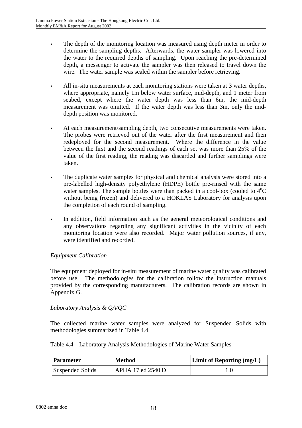- The depth of the monitoring location was measured using depth meter in order to determine the sampling depths. Afterwards, the water sampler was lowered into the water to the required depths of sampling. Upon reaching the pre-determined depth, a messenger to activate the sampler was then released to travel down the wire. The water sample was sealed within the sampler before retrieving.
- All in-situ measurements at each monitoring stations were taken at 3 water depths, where appropriate, namely 1m below water surface, mid-depth, and 1 meter from seabed, except where the water depth was less than 6m, the mid-depth measurement was omitted. If the water depth was less than 3m, only the middepth position was monitored.
- At each measurement/sampling depth, two consecutive measurements were taken. The probes were retrieved out of the water after the first measurement and then redeployed for the second measurement. Where the difference in the value between the first and the second readings of each set was more than 25% of the value of the first reading, the reading was discarded and further samplings were taken.
- The duplicate water samples for physical and chemical analysis were stored into a pre-labelled high-density polyethylene (HDPE) bottle pre-rinsed with the same water samples. The sample bottles were than packed in a cool-box (cooled to  $4^{\circ}C$ without being frozen) and delivered to a HOKLAS Laboratory for analysis upon the completion of each round of sampling.
- In addition, field information such as the general meteorological conditions and any observations regarding any significant activities in the vicinity of each monitoring location were also recorded. Major water pollution sources, if any, were identified and recorded.

# *Equipment Calibration*

The equipment deployed for in-situ measurement of marine water quality was calibrated before use. The methodologies for the calibration follow the instruction manuals provided by the corresponding manufacturers. The calibration records are shown in Appendix G.

# *Laboratory Analysis & QA/QC*

The collected marine water samples were analyzed for Suspended Solids with methodologies summarized in Table 4.4.

|  |  |  |  |  | Table 4.4 Laboratory Analysis Methodologies of Marine Water Samples |
|--|--|--|--|--|---------------------------------------------------------------------|
|--|--|--|--|--|---------------------------------------------------------------------|

| Parameter        | <b>Method</b>            | <b>Limit of Reporting (mg/L)</b> |
|------------------|--------------------------|----------------------------------|
| Suspended Solids | <b>APHA 17 ed 2540 D</b> |                                  |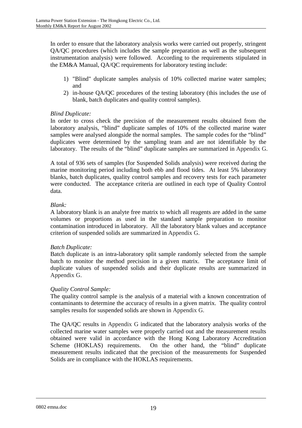In order to ensure that the laboratory analysis works were carried out properly, stringent QA/QC procedures (which includes the sample preparation as well as the subsequent instrumentation analysis) were followed. According to the requirements stipulated in the EM&A Manual, QA/QC requirements for laboratory testing include:

- 1) "Blind" duplicate samples analysis of 10% collected marine water samples; and
- 2) in-house QA/QC procedures of the testing laboratory (this includes the use of blank, batch duplicates and quality control samples).

# *Blind Duplicate:*

In order to cross check the precision of the measurement results obtained from the laboratory analysis, "blind" duplicate samples of 10% of the collected marine water samples were analysed alongside the normal samples. The sample codes for the "blind" duplicates were determined by the sampling team and are not identifiable by the laboratory. The results of the "blind" duplicate samples are summarized in Appendix G.

A total of 936 sets of samples (for Suspended Solids analysis) were received during the marine monitoring period including both ebb and flood tides. At least 5% laboratory blanks, batch duplicates, quality control samples and recovery tests for each parameter were conducted. The acceptance criteria are outlined in each type of Quality Control data.

# *Blank:*

A laboratory blank is an analyte free matrix to which all reagents are added in the same volumes or proportions as used in the standard sample preparation to monitor contamination introduced in laboratory. All the laboratory blank values and acceptance criterion of suspended solids are summarized in Appendix G.

# *Batch Duplicate:*

Batch duplicate is an intra-laboratory split sample randomly selected from the sample batch to monitor the method precision in a given matrix. The acceptance limit of duplicate values of suspended solids and their duplicate results are summarized in Appendix G.

# *Quality Control Sample:*

The quality control sample is the analysis of a material with a known concentration of contaminants to determine the accuracy of results in a given matrix. The quality control samples results for suspended solids are shown in Appendix G.

The QA/QC results in Appendix G indicated that the laboratory analysis works of the collected marine water samples were properly carried out and the measurement results obtained were valid in accordance with the Hong Kong Laboratory Accreditation Scheme (HOKLAS) requirements. On the other hand, the "blind" duplicate measurement results indicated that the precision of the measurements for Suspended Solids are in compliance with the HOKLAS requirements.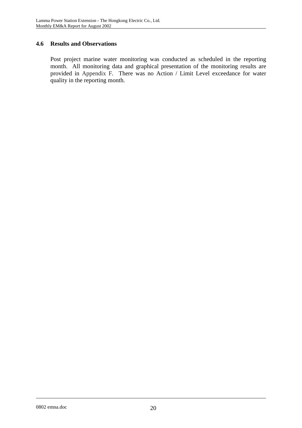# **4.6 Results and Observations**

Post project marine water monitoring was conducted as scheduled in the reporting month. All monitoring data and graphical presentation of the monitoring results are provided in Appendix F. There was no Action / Limit Level exceedance for water quality in the reporting month.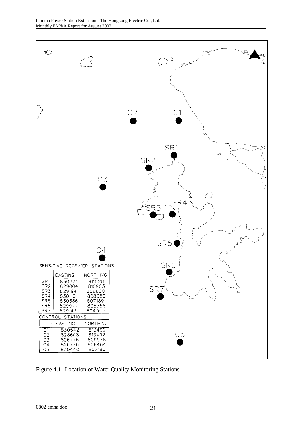

Figure 4.1 Location of Water Quality Monitoring Stations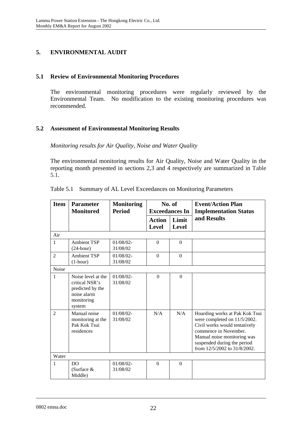# **5. ENVIRONMENTAL AUDIT**

# **5.1 Review of Environmental Monitoring Procedures**

The environmental monitoring procedures were regularly reviewed by the Environmental Team. No modification to the existing monitoring procedures was recommended.

# **5.2 Assessment of Environmental Monitoring Results**

*Monitoring results for Air Quality, Noise and Water Quality* 

The environmental monitoring results for Air Quality, Noise and Water Quality in the reporting month presented in sections 2,3 and 4 respectively are summarized in Table 5.1.

| <b>Item</b>    | <b>Parameter</b><br><b>Monitored</b>                                                            | <b>Monitoring</b><br><b>Period</b> | No. of<br><b>Exceedances In</b> |                       | <b>Event/Action Plan</b><br><b>Implementation Status</b>                                                                                                                                                               |
|----------------|-------------------------------------------------------------------------------------------------|------------------------------------|---------------------------------|-----------------------|------------------------------------------------------------------------------------------------------------------------------------------------------------------------------------------------------------------------|
|                |                                                                                                 |                                    | <b>Action</b><br>Level          | Limit<br><b>Level</b> | and Results                                                                                                                                                                                                            |
| Air            |                                                                                                 |                                    |                                 |                       |                                                                                                                                                                                                                        |
| $\mathbf{1}$   | <b>Ambient TSP</b><br>$(24$ -hour)                                                              | $01/08/02$ -<br>31/08/02           | $\Omega$                        | $\Omega$              |                                                                                                                                                                                                                        |
| $\overline{2}$ | <b>Ambient TSP</b><br>$(1-hour)$                                                                | 01/08/02-<br>31/08/02              | $\Omega$                        | $\Omega$              |                                                                                                                                                                                                                        |
| Noise          |                                                                                                 |                                    |                                 |                       |                                                                                                                                                                                                                        |
| $\mathbf{1}$   | Noise level at the<br>critical NSR's<br>predicted by the<br>noise alarm<br>monitoring<br>system | $01/08/02 -$<br>31/08/02           | $\Omega$                        | $\Omega$              |                                                                                                                                                                                                                        |
| $\mathfrak{D}$ | Manual noise<br>monitoring at the<br>Pak Kok Tsui<br>residences                                 | $01/08/02$ -<br>31/08/02           | N/A                             | N/A                   | Hoarding works at Pak Kok Tsui<br>were completed on 11/5/2002.<br>Civil works would tentatively<br>commence in November.<br>Manual noise monitoring was<br>suspended during the period<br>from 12/5/2002 to 31/8/2002. |
| Water          |                                                                                                 |                                    |                                 |                       |                                                                                                                                                                                                                        |
| $\mathbf{1}$   | D <sub>O</sub><br>(Surface $&$<br>Middle)                                                       | 01/08/02-<br>31/08/02              | $\Omega$                        | $\Omega$              |                                                                                                                                                                                                                        |

Table 5.1 Summary of AL Level Exceedances on Monitoring Parameters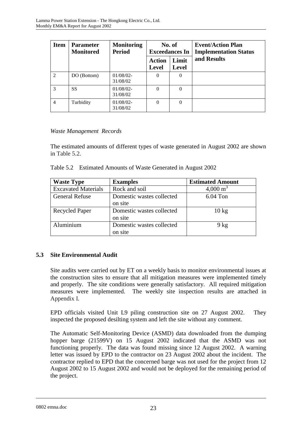| <b>Item</b>    | <b>Parameter</b><br><b>Monitored</b> | <b>Monitoring</b><br><b>Period</b> | No. of<br><b>Exceedances In</b> |                       | <b>Event/Action Plan</b><br><b>Implementation Status</b> |
|----------------|--------------------------------------|------------------------------------|---------------------------------|-----------------------|----------------------------------------------------------|
|                |                                      |                                    | <b>Action</b><br><b>Level</b>   | Limit<br><b>Level</b> | and Results                                              |
| $\mathfrak{D}$ | DO (Bottom)                          | $01/08/02$ -<br>31/08/02           | $\Omega$                        | $\Omega$              |                                                          |
| $\mathcal{R}$  | <b>SS</b>                            | 01/08/02-<br>31/08/02              | $\Omega$                        | $\Omega$              |                                                          |
| $\overline{4}$ | Turbidity                            | $01/08/02$ -<br>31/08/02           | $\theta$                        | $\theta$              |                                                          |

# *Waste Management Records*

The estimated amounts of different types of waste generated in August 2002 are shown in Table 5.2.

|  |  | Table 5.2 Estimated Amounts of Waste Generated in August 2002 |
|--|--|---------------------------------------------------------------|
|--|--|---------------------------------------------------------------|

| <b>Waste Type</b>          | <b>Examples</b>           | <b>Estimated Amount</b> |
|----------------------------|---------------------------|-------------------------|
| <b>Excavated Materials</b> | Rock and soil             | $4,000 \text{ m}^3$     |
| <b>General Refuse</b>      | Domestic wastes collected | $6.04$ Ton              |
|                            | on site                   |                         |
| <b>Recycled Paper</b>      | Domestic wastes collected | $10 \text{ kg}$         |
|                            | on site                   |                         |
| Aluminium                  | Domestic wastes collected | $9$ kg                  |
|                            | on site                   |                         |

# **5.3 Site Environmental Audit**

Site audits were carried out by ET on a weekly basis to monitor environmental issues at the construction sites to ensure that all mitigation measures were implemented timely and properly. The site conditions were generally satisfactory. All required mitigation measures were implemented. The weekly site inspection results are attached in Appendix I.

EPD officials visited Unit L9 piling construction site on 27 August 2002. They inspected the proposed desilting system and left the site without any comment.

The Automatic Self-Monitoring Device (ASMD) data downloaded from the dumping hopper barge (21599V) on 15 August 2002 indicated that the ASMD was not functioning properly. The data was found missing since 12 August 2002. A warning letter was issued by EPD to the contractor on 23 August 2002 about the incident. The contractor replied to EPD that the concerned barge was not used for the project from 12 August 2002 to 15 August 2002 and would not be deployed for the remaining period of the project.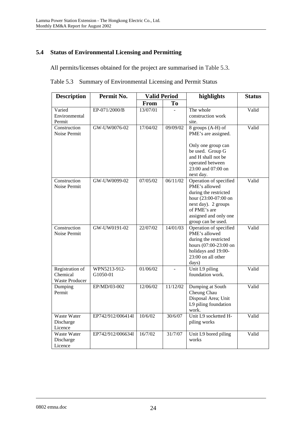# **5.4 Status of Environmental Licensing and Permitting**

All permits/licenses obtained for the project are summarised in Table 5.3.

| Table 5.3 Summary of Environmental Licensing and Permit Status |  |  |  |  |  |
|----------------------------------------------------------------|--|--|--|--|--|
|----------------------------------------------------------------|--|--|--|--|--|

| <b>Description</b>                            | Permit No.               |             | <b>Valid Period</b><br>highlights |                                                                                                                                                                                | <b>Status</b> |
|-----------------------------------------------|--------------------------|-------------|-----------------------------------|--------------------------------------------------------------------------------------------------------------------------------------------------------------------------------|---------------|
|                                               |                          | <b>From</b> | To                                |                                                                                                                                                                                |               |
| Varied<br>Environmental<br>Permit             | EP-071/2000/B            | 13/07/01    |                                   | The whole<br>construction work<br>site.                                                                                                                                        | Valid         |
| Construction<br>Noise Permit                  | GW-UW0076-02             | 17/04/02    | 09/09/02                          | 8 groups (A-H) of<br>PME's are assigned.<br>Only one group can<br>be used. Group G<br>and H shall not be<br>operated between<br>23:00 and 07:00 on<br>next day.                | Valid         |
| Construction<br>Noise Permit                  | GW-UW0099-02             | 07/05/02    | 06/11/02                          | Operation of specified<br>PME's allowed<br>during the restricted<br>hour (23:00-07:00 on<br>next day). 2 groups<br>of PME's are<br>assigned and only one<br>group can be used. | Valid         |
| Construction<br>Noise Permit                  | GW-UW0191-02             | 22/07/02    | 14/01/03                          | Operation of specified<br>PME's allowed<br>during the restricted<br>hours (07:00-23:00 on<br>holidays and 19:00-<br>$23:00$ on all other<br>days)                              | Valid         |
| Registration of<br>Chemical<br>Waste Producer | WPN5213-912-<br>G1050-01 | 01/06/02    |                                   | Unit L9 piling<br>foundation work.                                                                                                                                             | Valid         |
| Dumping<br>Permit                             | EP/MD/03-002             | 12/06/02    | 11/12/02                          | Dumping at South<br>Cheung Chau<br>Disposal Area; Unit<br>L9 piling foundation<br>work.                                                                                        | Valid         |
| Waste Water<br>Discharge<br>Licence           | EP742/912/006414I        | 10/6/02     | 30/6/07                           | Unit L9 socketted H-<br>piling works                                                                                                                                           | Valid         |
| <b>Waste Water</b><br>Discharge<br>Licence    | EP742/912/006634I        | 16/7/02     | 31/7/07                           | Unit L9 bored piling<br>works                                                                                                                                                  | Valid         |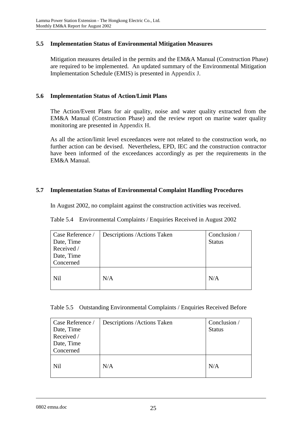# **5.5 Implementation Status of Environmental Mitigation Measures**

Mitigation measures detailed in the permits and the EM&A Manual (Construction Phase) are required to be implemented. An updated summary of the Environmental Mitigation Implementation Schedule (EMIS) is presented in Appendix J.

### **5.6 Implementation Status of Action/Limit Plans**

The Action/Event Plans for air quality, noise and water quality extracted from the EM&A Manual (Construction Phase) and the review report on marine water quality monitoring are presented in Appendix H.

As all the action/limit level exceedances were not related to the construction work, no further action can be devised. Nevertheless, EPD, IEC and the construction contractor have been informed of the exceedances accordingly as per the requirements in the EM&A Manual.

### **5.7 Implementation Status of Environmental Complaint Handling Procedures**

In August 2002, no complaint against the construction activities was received.

|  |  |  |  | Table 5.4 Environmental Complaints / Enquiries Received in August 2002 |
|--|--|--|--|------------------------------------------------------------------------|
|--|--|--|--|------------------------------------------------------------------------|

| Case Reference / | Descriptions / Actions Taken | Conclusion /  |
|------------------|------------------------------|---------------|
| Date, Time       |                              | <b>Status</b> |
| Received /       |                              |               |
| Date, Time       |                              |               |
| Concerned        |                              |               |
| <b>Nil</b>       | N/A                          | N/A           |

| Table 5.5 Outstanding Environmental Complaints / Enquiries Received Before |  |  |  |  |  |
|----------------------------------------------------------------------------|--|--|--|--|--|
|----------------------------------------------------------------------------|--|--|--|--|--|

| Case Reference /<br>Date, Time<br>Received /<br>Date, Time<br>Concerned | Descriptions / Actions Taken | Conclusion /<br><b>Status</b> |
|-------------------------------------------------------------------------|------------------------------|-------------------------------|
| <b>Nil</b>                                                              | N/A                          | N/A                           |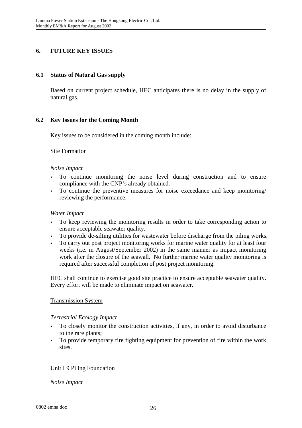# **6. FUTURE KEY ISSUES**

### **6.1 Status of Natural Gas supply**

Based on current project schedule, HEC anticipates there is no delay in the supply of natural gas.

# **6.2 Key Issues for the Coming Month**

Key issues to be considered in the coming month include:

### Site Formation

### *Noise Impact*

- To continue monitoring the noise level during construction and to ensure compliance with the CNP's already obtained.
- To continue the preventive measures for noise exceedance and keep monitoring/ reviewing the performance.

#### *Water Impact*

- To keep reviewing the monitoring results in order to take corresponding action to ensure acceptable seawater quality.
- To provide de-silting utilities for wastewater before discharge from the piling works.
- To carry out post project monitoring works for marine water quality for at least four weeks (i.e. in August/September 2002) in the same manner as impact monitoring work after the closure of the seawall. No further marine water quality monitoring is required after successful completion of post project monitoring.

HEC shall continue to exercise good site practice to ensure acceptable seawater quality. Every effort will be made to eliminate impact on seawater.

# Transmission System

#### *Terrestrial Ecology Impact*

- To closely monitor the construction activities, if any, in order to avoid disturbance to the rare plants;
- To provide temporary fire fighting equipment for prevention of fire within the work sites.

# Unit L9 Piling Foundation

#### *Noise Impact*

0802 emna.doc 26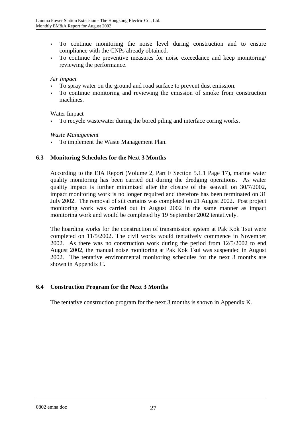- To continue monitoring the noise level during construction and to ensure compliance with the CNPs already obtained.
- To continue the preventive measures for noise exceedance and keep monitoring/ reviewing the performance.

### *Air Impact*

- To spray water on the ground and road surface to prevent dust emission.
- To continue monitoring and reviewing the emission of smoke from construction machines.

### Water Impact

• To recycle wastewater during the bored piling and interface coring works.

### *Waste Management*

• To implement the Waste Management Plan.

# **6.3 Monitoring Schedules for the Next 3 Months**

According to the EIA Report (Volume 2, Part F Section 5.1.1 Page 17), marine water quality monitoring has been carried out during the dredging operations. As water quality impact is further minimized after the closure of the seawall on 30/7/2002, impact monitoring work is no longer required and therefore has been terminated on 31 July 2002. The removal of silt curtains was completed on 21 August 2002. Post project monitoring work was carried out in August 2002 in the same manner as impact monitoring work and would be completed by 19 September 2002 tentatively.

The hoarding works for the construction of transmission system at Pak Kok Tsui were completed on 11/5/2002. The civil works would tentatively commence in November 2002. As there was no construction work during the period from 12/5/2002 to end August 2002, the manual noise monitoring at Pak Kok Tsui was suspended in August 2002. The tentative environmental monitoring schedules for the next 3 months are shown in Appendix C.

# **6.4 Construction Program for the Next 3 Months**

The tentative construction program for the next 3 months is shown in Appendix K.